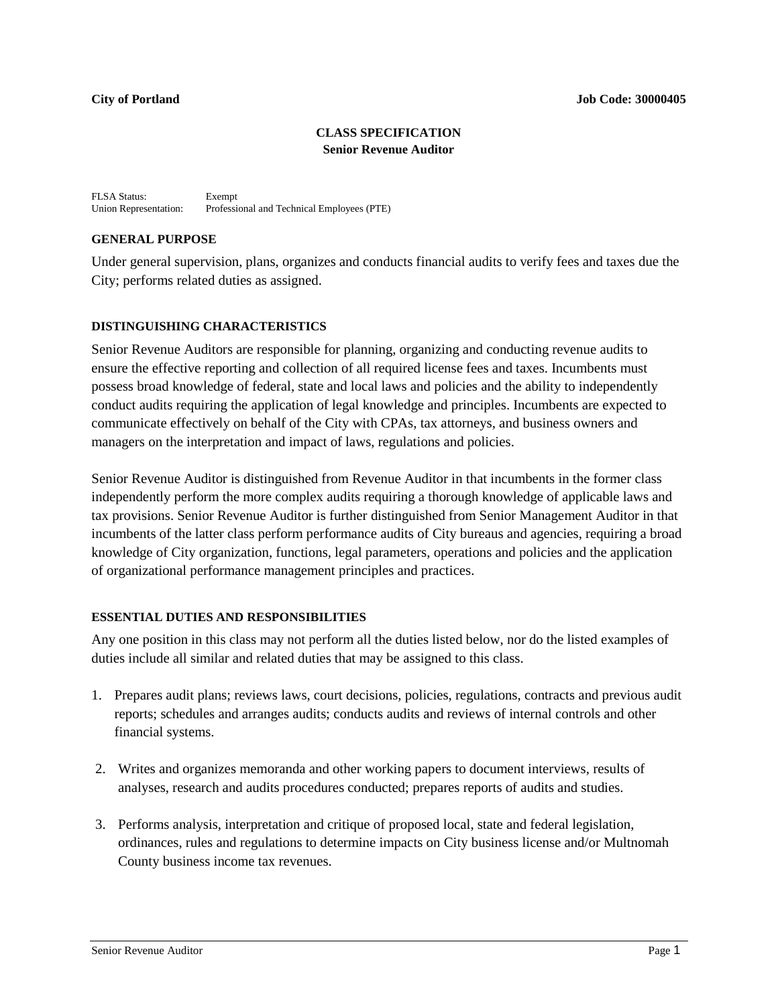## **CLASS SPECIFICATION Senior Revenue Auditor**

FLSA Status: Exempt<br>Union Representation: Professi Professional and Technical Employees (PTE)

## **GENERAL PURPOSE**

Under general supervision, plans, organizes and conducts financial audits to verify fees and taxes due the City; performs related duties as assigned.

# **DISTINGUISHING CHARACTERISTICS**

Senior Revenue Auditors are responsible for planning, organizing and conducting revenue audits to ensure the effective reporting and collection of all required license fees and taxes. Incumbents must possess broad knowledge of federal, state and local laws and policies and the ability to independently conduct audits requiring the application of legal knowledge and principles. Incumbents are expected to communicate effectively on behalf of the City with CPAs, tax attorneys, and business owners and managers on the interpretation and impact of laws, regulations and policies.

Senior Revenue Auditor is distinguished from Revenue Auditor in that incumbents in the former class independently perform the more complex audits requiring a thorough knowledge of applicable laws and tax provisions. Senior Revenue Auditor is further distinguished from Senior Management Auditor in that incumbents of the latter class perform performance audits of City bureaus and agencies, requiring a broad knowledge of City organization, functions, legal parameters, operations and policies and the application of organizational performance management principles and practices.

# **ESSENTIAL DUTIES AND RESPONSIBILITIES**

Any one position in this class may not perform all the duties listed below, nor do the listed examples of duties include all similar and related duties that may be assigned to this class.

- 1. Prepares audit plans; reviews laws, court decisions, policies, regulations, contracts and previous audit reports; schedules and arranges audits; conducts audits and reviews of internal controls and other financial systems.
- 2. Writes and organizes memoranda and other working papers to document interviews, results of analyses, research and audits procedures conducted; prepares reports of audits and studies.
- 3. Performs analysis, interpretation and critique of proposed local, state and federal legislation, ordinances, rules and regulations to determine impacts on City business license and/or Multnomah County business income tax revenues.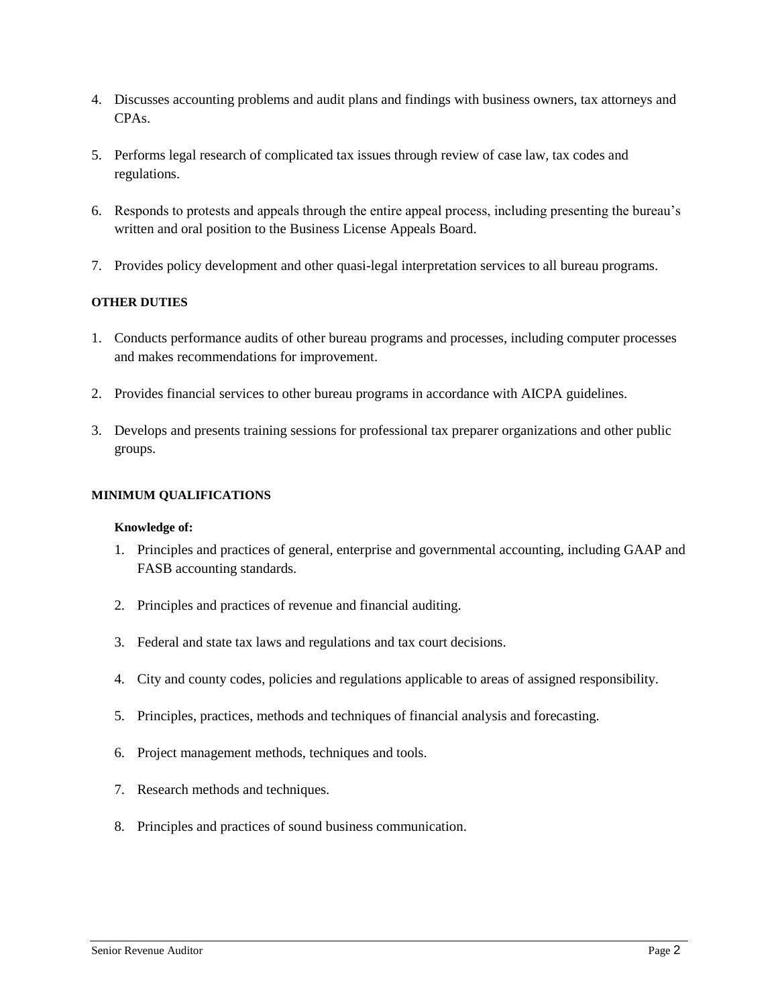- 4. Discusses accounting problems and audit plans and findings with business owners, tax attorneys and CPAs.
- 5. Performs legal research of complicated tax issues through review of case law, tax codes and regulations.
- 6. Responds to protests and appeals through the entire appeal process, including presenting the bureau's written and oral position to the Business License Appeals Board.
- 7. Provides policy development and other quasi-legal interpretation services to all bureau programs.

## **OTHER DUTIES**

- 1. Conducts performance audits of other bureau programs and processes, including computer processes and makes recommendations for improvement.
- 2. Provides financial services to other bureau programs in accordance with AICPA guidelines.
- 3. Develops and presents training sessions for professional tax preparer organizations and other public groups.

### **MINIMUM QUALIFICATIONS**

#### **Knowledge of:**

- 1. Principles and practices of general, enterprise and governmental accounting, including GAAP and FASB accounting standards.
- 2. Principles and practices of revenue and financial auditing.
- 3. Federal and state tax laws and regulations and tax court decisions.
- 4. City and county codes, policies and regulations applicable to areas of assigned responsibility.
- 5. Principles, practices, methods and techniques of financial analysis and forecasting.
- 6. Project management methods, techniques and tools.
- 7. Research methods and techniques.
- 8. Principles and practices of sound business communication.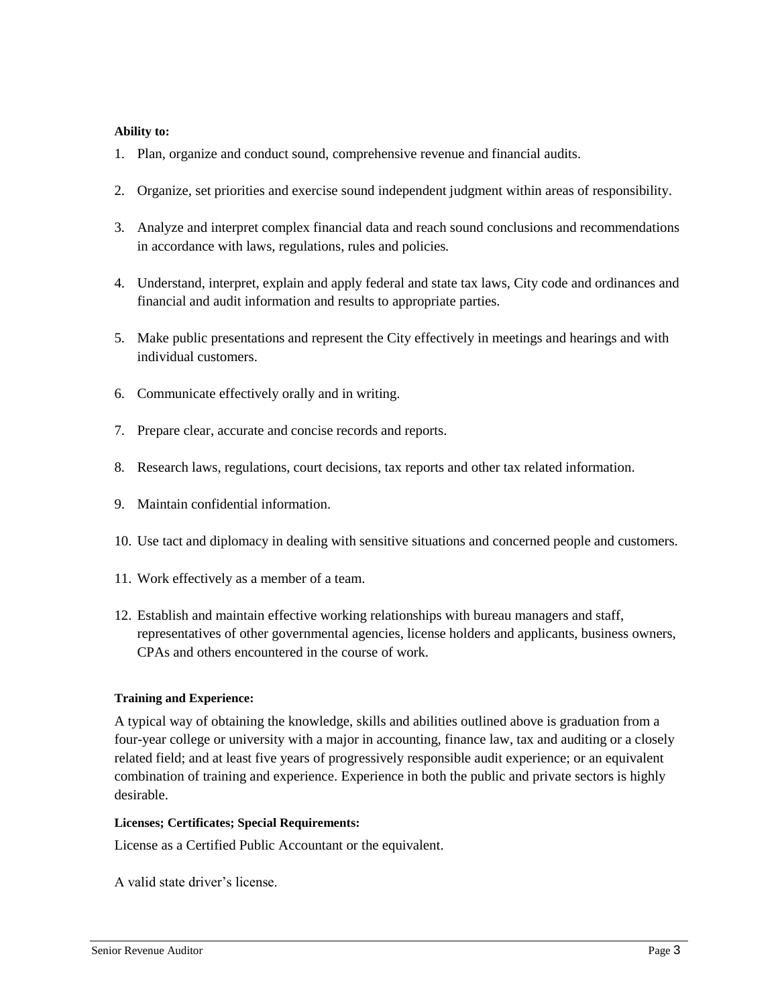## **Ability to:**

- 1. Plan, organize and conduct sound, comprehensive revenue and financial audits.
- 2. Organize, set priorities and exercise sound independent judgment within areas of responsibility.
- 3. Analyze and interpret complex financial data and reach sound conclusions and recommendations in accordance with laws, regulations, rules and policies.
- 4. Understand, interpret, explain and apply federal and state tax laws, City code and ordinances and financial and audit information and results to appropriate parties.
- 5. Make public presentations and represent the City effectively in meetings and hearings and with individual customers.
- 6. Communicate effectively orally and in writing.
- 7. Prepare clear, accurate and concise records and reports.
- 8. Research laws, regulations, court decisions, tax reports and other tax related information.
- 9. Maintain confidential information.
- 10. Use tact and diplomacy in dealing with sensitive situations and concerned people and customers.
- 11. Work effectively as a member of a team.
- 12. Establish and maintain effective working relationships with bureau managers and staff, representatives of other governmental agencies, license holders and applicants, business owners, CPAs and others encountered in the course of work.

## **Training and Experience:**

A typical way of obtaining the knowledge, skills and abilities outlined above is graduation from a four-year college or university with a major in accounting, finance law, tax and auditing or a closely related field; and at least five years of progressively responsible audit experience; or an equivalent combination of training and experience. Experience in both the public and private sectors is highly desirable.

#### **Licenses; Certificates; Special Requirements:**

License as a Certified Public Accountant or the equivalent.

A valid state driver's license.